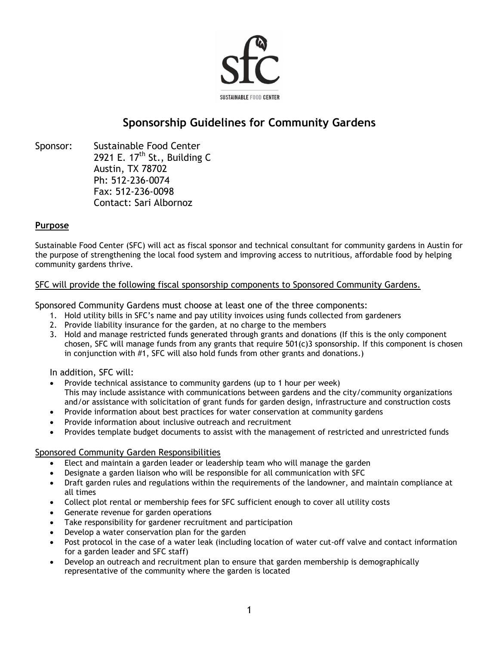

# **Sponsorship Guidelines for Community Gardens**

Sponsor: Sustainable Food Center 2921 E. 17<sup>th</sup> St., Building C Austin, TX 78702 Ph: 512-236-0074 Fax: 512-236-0098 Contact: Sari Albornoz

### **Purpose**

Sustainable Food Center (SFC) will act as fiscal sponsor and technical consultant for community gardens in Austin for the purpose of strengthening the local food system and improving access to nutritious, affordable food by helping community gardens thrive.

# SFC will provide the following fiscal sponsorship components to Sponsored Community Gardens.

Sponsored Community Gardens must choose at least one of the three components:

- 1. Hold utility bills in SFC's name and pay utility invoices using funds collected from gardeners
- 2. Provide liability insurance for the garden, at no charge to the members
- 3. Hold and manage restricted funds generated through grants and donations (If this is the only component chosen, SFC will manage funds from any grants that require 501(c)3 sponsorship. If this component is chosen in conjunction with #1, SFC will also hold funds from other grants and donations.)

In addition, SFC will:

- Provide technical assistance to community gardens (up to 1 hour per week) This may include assistance with communications between gardens and the city/community organizations and/or assistance with solicitation of grant funds for garden design, infrastructure and construction costs
- Provide information about best practices for water conservation at community gardens
- Provide information about inclusive outreach and recruitment
- Provides template budget documents to assist with the management of restricted and unrestricted funds

# Sponsored Community Garden Responsibilities

- Elect and maintain a garden leader or leadership team who will manage the garden
- Designate a garden liaison who will be responsible for all communication with SFC
- Draft garden rules and regulations within the requirements of the landowner, and maintain compliance at all times
- Collect plot rental or membership fees for SFC sufficient enough to cover all utility costs
- Generate revenue for garden operations
- Take responsibility for gardener recruitment and participation
- Develop a water conservation plan for the garden
- Post protocol in the case of a water leak (including location of water cut-off valve and contact information for a garden leader and SFC staff)
- Develop an outreach and recruitment plan to ensure that garden membership is demographically representative of the community where the garden is located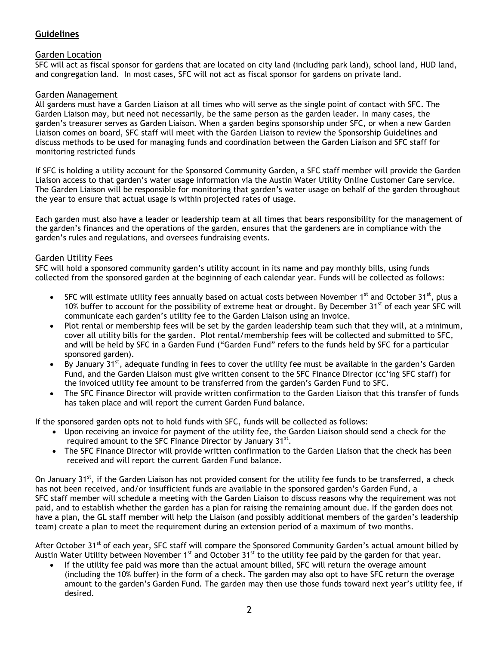# **Guidelines**

# Garden Location

SFC will act as fiscal sponsor for gardens that are located on city land (including park land), school land, HUD land, and congregation land. In most cases, SFC will not act as fiscal sponsor for gardens on private land.

## Garden Management

All gardens must have a Garden Liaison at all times who will serve as the single point of contact with SFC. The Garden Liaison may, but need not necessarily, be the same person as the garden leader. In many cases, the garden's treasurer serves as Garden Liaison. When a garden begins sponsorship under SFC, or when a new Garden Liaison comes on board, SFC staff will meet with the Garden Liaison to review the Sponsorship Guidelines and discuss methods to be used for managing funds and coordination between the Garden Liaison and SFC staff for monitoring restricted funds

If SFC is holding a utility account for the Sponsored Community Garden, a SFC staff member will provide the Garden Liaison access to that garden's water usage information via the Austin Water Utility Online Customer Care service. The Garden Liaison will be responsible for monitoring that garden's water usage on behalf of the garden throughout the year to ensure that actual usage is within projected rates of usage.

Each garden must also have a leader or leadership team at all times that bears responsibility for the management of the garden's finances and the operations of the garden, ensures that the gardeners are in compliance with the garden's rules and regulations, and oversees fundraising events.

## Garden Utility Fees

SFC will hold a sponsored community garden's utility account in its name and pay monthly bills, using funds collected from the sponsored garden at the beginning of each calendar year. Funds will be collected as follows:

- SFC will estimate utility fees annually based on actual costs between November 1<sup>st</sup> and October 31<sup>st</sup>, plus a 10% buffer to account for the possibility of extreme heat or drought. By December 31<sup>st</sup> of each year SFC will communicate each garden's utility fee to the Garden Liaison using an invoice.
- Plot rental or membership fees will be set by the garden leadership team such that they will, at a minimum, cover all utility bills for the garden. Plot rental/membership fees will be collected and submitted to SFC, and will be held by SFC in a Garden Fund ("Garden Fund" refers to the funds held by SFC for a particular sponsored garden).
- By January 31<sup>st</sup>, adequate funding in fees to cover the utility fee must be available in the garden's Garden Fund, and the Garden Liaison must give written consent to the SFC Finance Director (cc'ing SFC staff) for the invoiced utility fee amount to be transferred from the garden's Garden Fund to SFC.
- The SFC Finance Director will provide written confirmation to the Garden Liaison that this transfer of funds has taken place and will report the current Garden Fund balance.

If the sponsored garden opts not to hold funds with SFC, funds will be collected as follows:

- Upon receiving an invoice for payment of the utility fee, the Garden Liaison should send a check for the required amount to the SFC Finance Director by January  $31^{st}$ .
- The SFC Finance Director will provide written confirmation to the Garden Liaison that the check has been received and will report the current Garden Fund balance.

On January 31<sup>st</sup>, if the Garden Liaison has not provided consent for the utility fee funds to be transferred, a check has not been received, and/or insufficient funds are available in the sponsored garden's Garden Fund, a SFC staff member will schedule a meeting with the Garden Liaison to discuss reasons why the requirement was not paid, and to establish whether the garden has a plan for raising the remaining amount due. If the garden does not have a plan, the GL staff member will help the Liaison (and possibly additional members of the garden's leadership team) create a plan to meet the requirement during an extension period of a maximum of two months.

After October 31<sup>st</sup> of each year, SFC staff will compare the Sponsored Community Garden's actual amount billed by Austin Water Utility between November 1<sup>st</sup> and October 31<sup>st</sup> to the utility fee paid by the garden for that year.

 If the utility fee paid was **more** than the actual amount billed, SFC will return the overage amount (including the 10% buffer) in the form of a check. The garden may also opt to have SFC return the overage amount to the garden's Garden Fund. The garden may then use those funds toward next year's utility fee, if desired.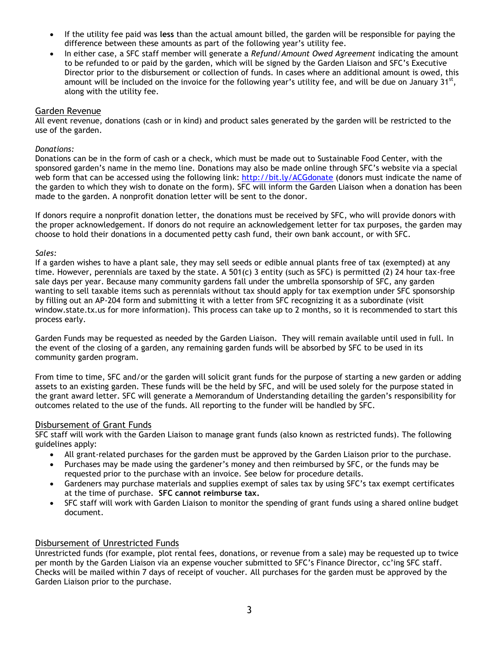- If the utility fee paid was **less** than the actual amount billed, the garden will be responsible for paying the difference between these amounts as part of the following year's utility fee.
- In either case, a SFC staff member will generate a *Refund/Amount Owed Agreement* indicating the amount to be refunded to or paid by the garden, which will be signed by the Garden Liaison and SFC's Executive Director prior to the disbursement or collection of funds. In cases where an additional amount is owed, this amount will be included on the invoice for the following year's utility fee, and will be due on January  $31^{st}$ , along with the utility fee.

### Garden Revenue

All event revenue, donations (cash or in kind) and product sales generated by the garden will be restricted to the use of the garden.

#### *Donations:*

Donations can be in the form of cash or a check, which must be made out to Sustainable Food Center, with the sponsored garden's name in the memo line. Donations may also be made online through SFC's website via a special web form that can be accessed using the following link: <http://bit.ly/ACGdonate> (donors must indicate the name of the garden to which they wish to donate on the form). SFC will inform the Garden Liaison when a donation has been made to the garden. A nonprofit donation letter will be sent to the donor.

If donors require a nonprofit donation letter, the donations must be received by SFC, who will provide donors with the proper acknowledgement. If donors do not require an acknowledgement letter for tax purposes, the garden may choose to hold their donations in a documented petty cash fund, their own bank account, or with SFC.

#### *Sales:*

If a garden wishes to have a plant sale, they may sell seeds or edible annual plants free of tax (exempted) at any time. However, perennials are taxed by the state. A 501(c) 3 entity (such as SFC) is permitted (2) 24 hour tax-free sale days per year. Because many community gardens fall under the umbrella sponsorship of SFC, any garden wanting to sell taxable items such as perennials without tax should apply for tax exemption under SFC sponsorship by filling out an AP-204 form and submitting it with a letter from SFC recognizing it as a subordinate (visit window.state.tx.us for more information). This process can take up to 2 months, so it is recommended to start this process early.

Garden Funds may be requested as needed by the Garden Liaison. They will remain available until used in full. In the event of the closing of a garden, any remaining garden funds will be absorbed by SFC to be used in its community garden program.

From time to time, SFC and/or the garden will solicit grant funds for the purpose of starting a new garden or adding assets to an existing garden. These funds will be the held by SFC, and will be used solely for the purpose stated in the grant award letter. SFC will generate a Memorandum of Understanding detailing the garden's responsibility for outcomes related to the use of the funds. All reporting to the funder will be handled by SFC.

### Disbursement of Grant Funds

SFC staff will work with the Garden Liaison to manage grant funds (also known as restricted funds). The following guidelines apply:

- All grant-related purchases for the garden must be approved by the Garden Liaison prior to the purchase.
- Purchases may be made using the gardener's money and then reimbursed by SFC, or the funds may be requested prior to the purchase with an invoice. See below for procedure details.
- Gardeners may purchase materials and supplies exempt of sales tax by using SFC's tax exempt certificates at the time of purchase. **SFC cannot reimburse tax.**
- SFC staff will work with Garden Liaison to monitor the spending of grant funds using a shared online budget document.

### Disbursement of Unrestricted Funds

Unrestricted funds (for example, plot rental fees, donations, or revenue from a sale) may be requested up to twice per month by the Garden Liaison via an expense voucher submitted to SFC's Finance Director, cc'ing SFC staff. Checks will be mailed within 7 days of receipt of voucher. All purchases for the garden must be approved by the Garden Liaison prior to the purchase.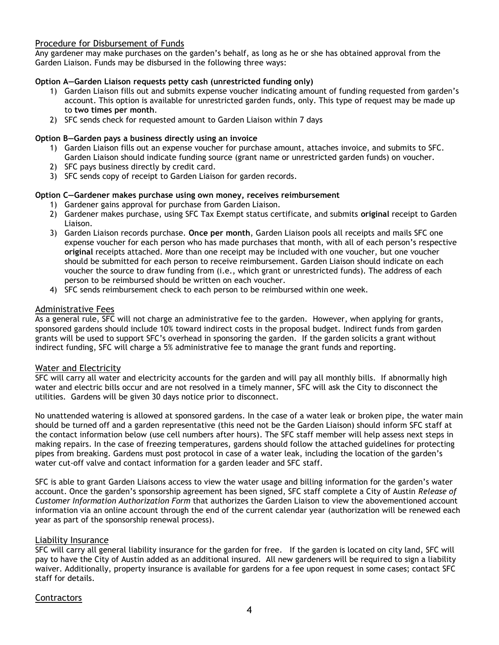## Procedure for Disbursement of Funds

Any gardener may make purchases on the garden's behalf, as long as he or she has obtained approval from the Garden Liaison. Funds may be disbursed in the following three ways:

## **Option A—Garden Liaison requests petty cash (unrestricted funding only)**

- 1) Garden Liaison fills out and submits expense voucher indicating amount of funding requested from garden's account. This option is available for unrestricted garden funds, only. This type of request may be made up to **two times per month**.
- 2) SFC sends check for requested amount to Garden Liaison within 7 days

## **Option B—Garden pays a business directly using an invoice**

- 1) Garden Liaison fills out an expense voucher for purchase amount, attaches invoice, and submits to SFC. Garden Liaison should indicate funding source (grant name or unrestricted garden funds) on voucher.
- 2) SFC pays business directly by credit card.
- 3) SFC sends copy of receipt to Garden Liaison for garden records.

## **Option C—Gardener makes purchase using own money, receives reimbursement**

- 1) Gardener gains approval for purchase from Garden Liaison.
- 2) Gardener makes purchase, using SFC Tax Exempt status certificate, and submits **original** receipt to Garden Liaison.
- 3) Garden Liaison records purchase. **Once per month**, Garden Liaison pools all receipts and mails SFC one expense voucher for each person who has made purchases that month, with all of each person's respective **original** receipts attached. More than one receipt may be included with one voucher, but one voucher should be submitted for each person to receive reimbursement. Garden Liaison should indicate on each voucher the source to draw funding from (i.e., which grant or unrestricted funds). The address of each person to be reimbursed should be written on each voucher.
- 4) SFC sends reimbursement check to each person to be reimbursed within one week.

# Administrative Fees

As a general rule, SFC will not charge an administrative fee to the garden. However, when applying for grants, sponsored gardens should include 10% toward indirect costs in the proposal budget. Indirect funds from garden grants will be used to support SFC's overhead in sponsoring the garden. If the garden solicits a grant without indirect funding, SFC will charge a 5% administrative fee to manage the grant funds and reporting.

### Water and Electricity

SFC will carry all water and electricity accounts for the garden and will pay all monthly bills. If abnormally high water and electric bills occur and are not resolved in a timely manner, SFC will ask the City to disconnect the utilities. Gardens will be given 30 days notice prior to disconnect.

No unattended watering is allowed at sponsored gardens. In the case of a water leak or broken pipe, the water main should be turned off and a garden representative (this need not be the Garden Liaison) should inform SFC staff at the contact information below (use cell numbers after hours). The SFC staff member will help assess next steps in making repairs. In the case of freezing temperatures, gardens should follow the attached guidelines for protecting pipes from breaking. Gardens must post protocol in case of a water leak, including the location of the garden's water cut-off valve and contact information for a garden leader and SFC staff.

SFC is able to grant Garden Liaisons access to view the water usage and billing information for the garden's water account. Once the garden's sponsorship agreement has been signed, SFC staff complete a City of Austin *Release of Customer Information Authorization Form* that authorizes the Garden Liaison to view the abovementioned account information via an online account through the end of the current calendar year (authorization will be renewed each year as part of the sponsorship renewal process).

# Liability Insurance

SFC will carry all general liability insurance for the garden for free. If the garden is located on city land, SFC will pay to have the City of Austin added as an additional insured. All new gardeners will be required to sign a liability waiver. Additionally, property insurance is available for gardens for a fee upon request in some cases; contact SFC staff for details.

# **Contractors**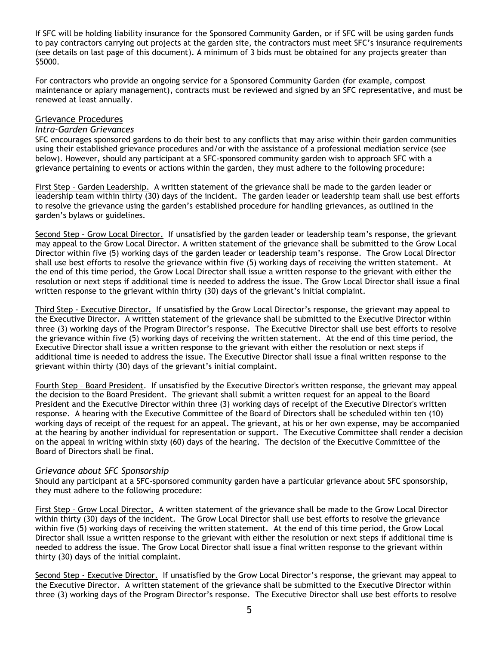If SFC will be holding liability insurance for the Sponsored Community Garden, or if SFC will be using garden funds to pay contractors carrying out projects at the garden site, the contractors must meet SFC's insurance requirements (see details on last page of this document). A minimum of 3 bids must be obtained for any projects greater than \$5000.

For contractors who provide an ongoing service for a Sponsored Community Garden (for example, compost maintenance or apiary management), contracts must be reviewed and signed by an SFC representative, and must be renewed at least annually.

#### Grievance Procedures

#### *Intra-Garden Grievances*

SFC encourages sponsored gardens to do their best to any conflicts that may arise within their garden communities using their established grievance procedures and/or with the assistance of a professional mediation service (see below). However, should any participant at a SFC-sponsored community garden wish to approach SFC with a grievance pertaining to events or actions within the garden, they must adhere to the following procedure:

First Step – Garden Leadership. A written statement of the grievance shall be made to the garden leader or leadership team within thirty (30) days of the incident. The garden leader or leadership team shall use best efforts to resolve the grievance using the garden's established procedure for handling grievances, as outlined in the garden's bylaws or guidelines.

Second Step – Grow Local Director. If unsatisfied by the garden leader or leadership team's response, the grievant may appeal to the Grow Local Director. A written statement of the grievance shall be submitted to the Grow Local Director within five (5) working days of the garden leader or leadership team's response. The Grow Local Director shall use best efforts to resolve the grievance within five (5) working days of receiving the written statement. At the end of this time period, the Grow Local Director shall issue a written response to the grievant with either the resolution or next steps if additional time is needed to address the issue. The Grow Local Director shall issue a final written response to the grievant within thirty (30) days of the grievant's initial complaint.

Third Step - Executive Director. If unsatisfied by the Grow Local Director's response, the grievant may appeal to the Executive Director. A written statement of the grievance shall be submitted to the Executive Director within three (3) working days of the Program Director's response. The Executive Director shall use best efforts to resolve the grievance within five (5) working days of receiving the written statement. At the end of this time period, the Executive Director shall issue a written response to the grievant with either the resolution or next steps if additional time is needed to address the issue. The Executive Director shall issue a final written response to the grievant within thirty (30) days of the grievant's initial complaint.

Fourth Step – Board President. If unsatisfied by the Executive Director's written response, the grievant may appeal the decision to the Board President. The grievant shall submit a written request for an appeal to the Board President and the Executive Director within three (3) working days of receipt of the Executive Director's written response. A hearing with the Executive Committee of the Board of Directors shall be scheduled within ten (10) working days of receipt of the request for an appeal. The grievant, at his or her own expense, may be accompanied at the hearing by another individual for representation or support. The Executive Committee shall render a decision on the appeal in writing within sixty (60) days of the hearing. The decision of the Executive Committee of the Board of Directors shall be final.

#### *Grievance about SFC Sponsorship*

Should any participant at a SFC-sponsored community garden have a particular grievance about SFC sponsorship, they must adhere to the following procedure:

First Step – Grow Local Director. A written statement of the grievance shall be made to the Grow Local Director within thirty (30) days of the incident. The Grow Local Director shall use best efforts to resolve the grievance within five (5) working days of receiving the written statement. At the end of this time period, the Grow Local Director shall issue a written response to the grievant with either the resolution or next steps if additional time is needed to address the issue. The Grow Local Director shall issue a final written response to the grievant within thirty (30) days of the initial complaint.

Second Step - Executive Director. If unsatisfied by the Grow Local Director's response, the grievant may appeal to the Executive Director. A written statement of the grievance shall be submitted to the Executive Director within three (3) working days of the Program Director's response. The Executive Director shall use best efforts to resolve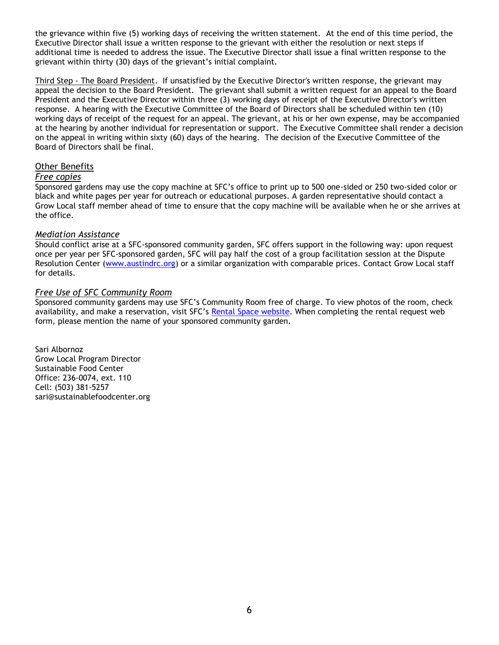the grievance within five (5) working days of receiving the written statement. At the end of this time period, the Executive Director shall issue a written response to the grievant with either the resolution or next steps if additional time is needed to address the issue. The Executive Director shall issue a final written response to the grievant within thirty (30) days of the grievant's initial complaint.

Third Step - The Board President. If unsatisfied by the Executive Director's written response, the grievant may appeal the decision to the Board President. The grievant shall submit a written request for an appeal to the Board President and the Executive Director within three (3) working days of receipt of the Executive Director's written response. A hearing with the Executive Committee of the Board of Directors shall be scheduled within ten (10) working days of receipt of the request for an appeal. The grievant, at his or her own expense, may be accompanied at the hearing by another individual for representation or support. The Executive Committee shall render a decision on the appeal in writing within sixty (60) days of the hearing. The decision of the Executive Committee of the Board of Directors shall be final.

#### Other Benefits

#### *Free copies*

Sponsored gardens may use the copy machine at SFC's office to print up to 500 one-sided or 250 two-sided color or black and white pages per year for outreach or educational purposes. A garden representative should contact a Grow Local staff member ahead of time to ensure that the copy machine will be available when he or she arrives at the office.

#### *Mediation Assistance*

Should conflict arise at a SFC-sponsored community garden, SFC offers support in the following way: upon request once per year per SFC-sponsored garden, SFC will pay half the cost of a group facilitation session at the Dispute Resolution Center [\(www.austindrc.org\)](http://www.austindrc.org/) or a similar organization with comparable prices. Contact Grow Local staff for details.

#### *Free Use of SFC Community Room*

Sponsored community gardens may use SFC's Community Room free of charge. To view photos of the room, check availability, and make a reservation, visit SFC's [Rental Space website.](http://www.sustainablefoodcenter.org/about/rental-space) When completing the rental request web form, please mention the name of your sponsored community garden.

Sari Albornoz Grow Local Program Director Sustainable Food Center Office: 236-0074, ext. 110 Cell: (503) 381-5257 sari@sustainablefoodcenter.org